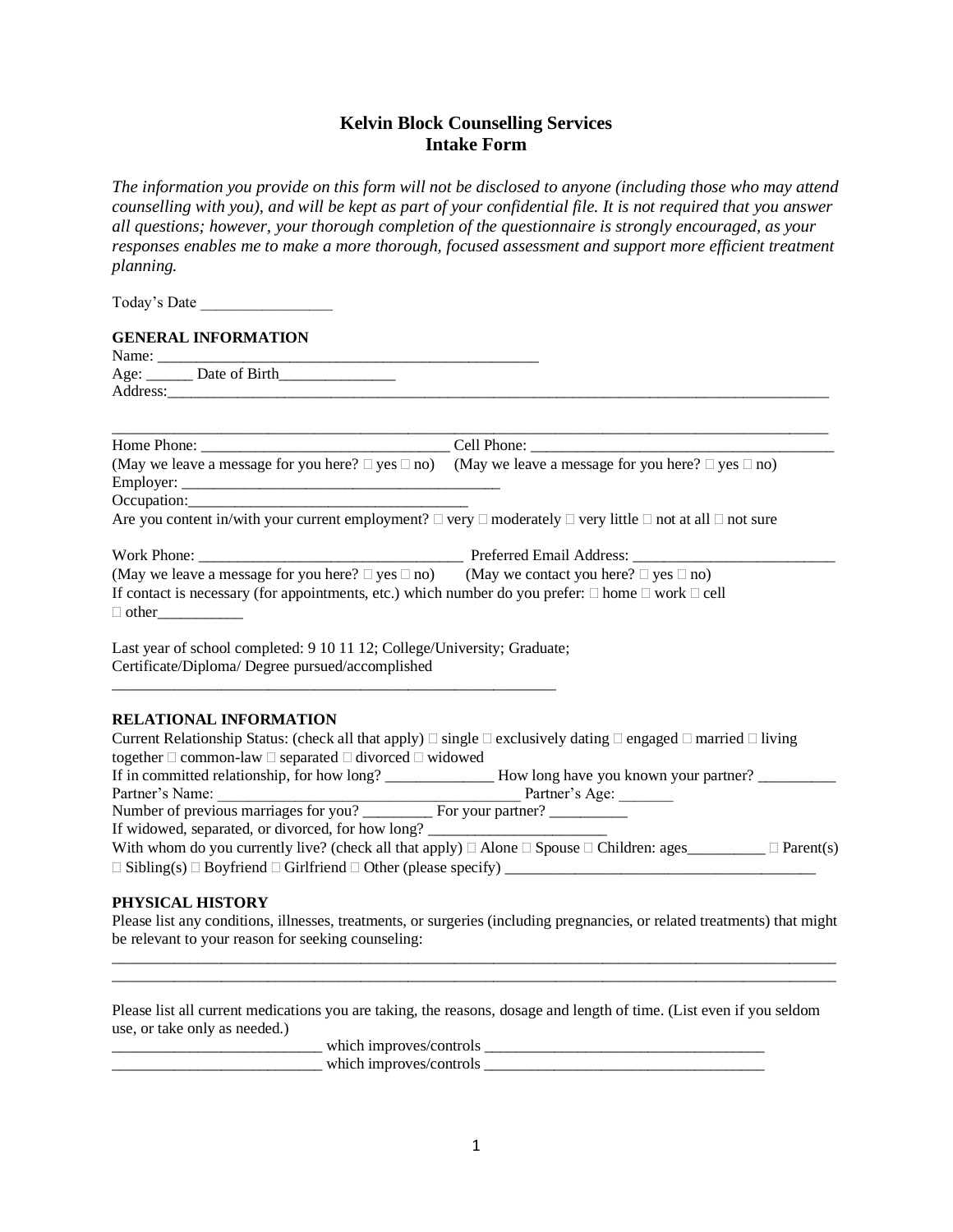# **Kelvin Block Counselling Services Intake Form**

*The information you provide on this form will not be disclosed to anyone (including those who may attend counselling with you), and will be kept as part of your confidential file. It is not required that you answer all questions; however, your thorough completion of the questionnaire is strongly encouraged, as your responses enables me to make a more thorough, focused assessment and support more efficient treatment planning.*

Today's Date \_\_\_\_\_\_\_\_\_\_\_\_\_\_\_\_\_

 $\Box$  other

#### **GENERAL INFORMATION**

| Age: Date of Birth                                                                                               |                                                                                                                                     |
|------------------------------------------------------------------------------------------------------------------|-------------------------------------------------------------------------------------------------------------------------------------|
|                                                                                                                  |                                                                                                                                     |
|                                                                                                                  |                                                                                                                                     |
|                                                                                                                  | (May we leave a message for you here? $\Box$ yes $\Box$ no) (May we leave a message for you here? $\Box$ yes $\Box$ no)             |
|                                                                                                                  |                                                                                                                                     |
|                                                                                                                  |                                                                                                                                     |
|                                                                                                                  | Are you content in/with your current employment? $\Box$ very $\Box$ moderately $\Box$ very little $\Box$ not at all $\Box$ not sure |
|                                                                                                                  |                                                                                                                                     |
| (May we leave a message for you here? $\Box$ yes $\Box$ no) (May we contact you here? $\Box$ yes $\Box$ no)      |                                                                                                                                     |
| If contact is necessary (for appointments, etc.) which number do you prefer: $\Box$ home $\Box$ work $\Box$ cell |                                                                                                                                     |

Last year of school completed: 9 10 11 12; College/University; Graduate;

\_\_\_\_\_\_\_\_\_\_\_\_\_\_\_\_\_\_\_\_\_\_\_\_\_\_\_\_\_\_\_\_\_\_\_\_\_\_\_\_\_\_\_\_\_\_\_\_\_\_\_\_\_\_\_\_\_

Certificate/Diploma/ Degree pursued/accomplished

### **RELATIONAL INFORMATION**

| Current Relationship Status: (check all that apply) $\Box$ single $\Box$ exclusively dating $\Box$ engaged $\Box$ married $\Box$ living |                |                  |
|-----------------------------------------------------------------------------------------------------------------------------------------|----------------|------------------|
| together $\Box$ common-law $\Box$ separated $\Box$ divorced $\Box$ widowed                                                              |                |                  |
|                                                                                                                                         |                |                  |
| Partner's Name:                                                                                                                         | Partner's Age: |                  |
| Number of previous marriages for you? For your partner?                                                                                 |                |                  |
| If widowed, separated, or divorced, for how long?                                                                                       |                |                  |
| With whom do you currently live? (check all that apply) $\Box$ Alone $\Box$ Spouse $\Box$ Children: ages                                |                | $\Box$ Parent(s) |
| $\Box$ Sibling(s) $\Box$ Boyfriend $\Box$ Girlfriend $\Box$ Other (please specify) $\Box$                                               |                |                  |

### **PHYSICAL HISTORY**

Please list any conditions, illnesses, treatments, or surgeries (including pregnancies, or related treatments) that might be relevant to your reason for seeking counseling:  $\_$  ,  $\_$  ,  $\_$  ,  $\_$  ,  $\_$  ,  $\_$  ,  $\_$  ,  $\_$  ,  $\_$  ,  $\_$  ,  $\_$  ,  $\_$  ,  $\_$  ,  $\_$  ,  $\_$  ,  $\_$  ,  $\_$  ,  $\_$  ,  $\_$  ,  $\_$  ,  $\_$  ,  $\_$  ,  $\_$  ,  $\_$  ,  $\_$  ,  $\_$  ,  $\_$  ,  $\_$  ,  $\_$  ,  $\_$  ,  $\_$  ,  $\_$  ,  $\_$  ,  $\_$  ,  $\_$  ,  $\_$  ,  $\_$  ,

 $\_$  ,  $\_$  ,  $\_$  ,  $\_$  ,  $\_$  ,  $\_$  ,  $\_$  ,  $\_$  ,  $\_$  ,  $\_$  ,  $\_$  ,  $\_$  ,  $\_$  ,  $\_$  ,  $\_$  ,  $\_$  ,  $\_$  ,  $\_$  ,  $\_$  ,  $\_$  ,  $\_$  ,  $\_$  ,  $\_$  ,  $\_$  ,  $\_$  ,  $\_$  ,  $\_$  ,  $\_$  ,  $\_$  ,  $\_$  ,  $\_$  ,  $\_$  ,  $\_$  ,  $\_$  ,  $\_$  ,  $\_$  ,  $\_$  ,

Please list all current medications you are taking, the reasons, dosage and length of time. (List even if you seldom use, or take only as needed.)

\_\_\_\_\_\_\_\_\_\_\_\_\_\_\_\_\_\_\_\_\_\_\_\_\_\_\_ which improves/controls \_\_\_\_\_\_\_\_\_\_\_\_\_\_\_\_\_\_\_\_\_\_\_\_\_\_\_\_\_\_\_\_\_\_\_\_